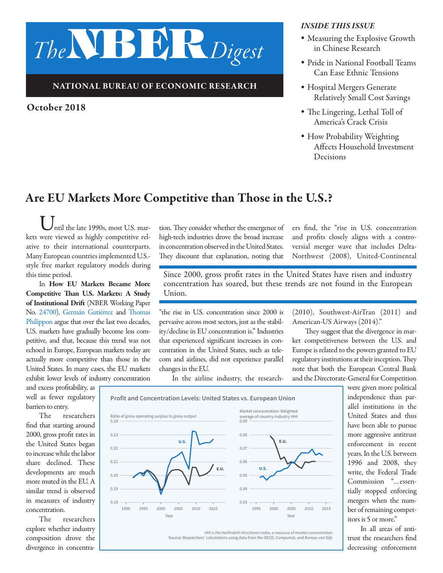# *The*NBER*Digest*

### NATIONAL BUREAU OF ECONOMIC RESEARCH

Ratio of gross operating surplus to gross output

0.18 0.19

0.21

0.20

0.23

 $0.24$ 

0.22

**U.S.**

## October 2018

#### *INSIDE THIS ISSUE*

- *•* Measuring the Explosive Growth in Chinese Research
- *•* Pride in National Football Teams Can Ease Ethnic Tensions
- *•* Hospital Mergers Generate Relatively Small Cost Savings
- *•* The Lingering, Lethal Toll of America's Crack Crisis
- *•* How Probability Weighting Affects Household Investment Decisions

# Are EU Markets More Competitive than Those in the U.S.?

 $\bigcup_{\text{ntil the late 1990s, most U.S. mar-} }$ kets were viewed as highly competitive relative to their international counterparts. Many European countries implemented U.S. style free market regulatory models during this time period.

In How EU Markets Became More Competitive Than U.S. Markets: A Study of Institutional Drift (NBER Working Paper No. [24700\)](http://www.nber.org/papers/w24700), [Germán Gutiérrez](http://www.nber.org/people/german_gutierrez) and [Thomas](http://www.nber.org/people/thomas_philippon) [Philippon](http://www.nber.org/people/thomas_philippon) argue that over the last two decades, U.S. markets have gradually become less competitive, and that, because this trend was not echoed in Europe, European markets today are actually more competitive than those in the United States. In many cases, the EU markets exhibit lower levels of industry concentration

and excess profitability, as well as fewer regulatory barriers to entry.

The researchers find that starting around 2000, gross profit rates in the United States began to increase while the labor share declined. These developments are much more muted in the EU. A similar trend is observed in measures of industry concentration.

The researchers explore whether industry composition drove the divergence in concentration. They consider whether the emergence of high-tech industries drove the broad increase in concentration observed in the United States. They discount that explanation, noting that ers find, the "rise in U.S. concentration and profits closely aligns with a controversial merger wave that includes Delta-Northwest (2008), United-Continental

Since 2000, gross profit rates in the United States have risen and industry concentration has soared, but these trends are not found in the European  $Union$ 

"the rise in U.S. concentration since 2000 is pervasive across most sectors, just as the stability/decline in EU concentration is." Industries that experienced significant increases in concentration in the United States, such as telecom and airlines, did not experience parallel changes in the EU.

In the airline industry, the research-

(2010), Southwest-AirTran (2011) and American-US Airways (2014)."

They suggest that the divergence in market competitiveness between the U.S. and Europe is related to the powers granted to EU regulatory institutions at their inception. They note that both the European Central Bank and the Directorate-General for Competition



In all areas of antitrust the researchers find decreasing enforcement



HHI is the Herfindahl-Hirschman index, a measure of market concentration

Source: Researchers' calculations using data from the OECD, Compustat, and Bureau van Dijk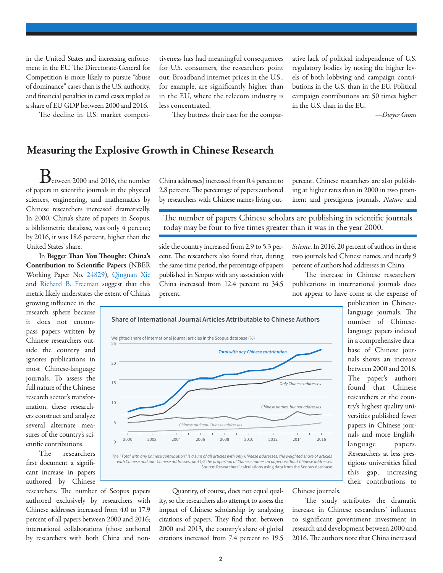in the United States and increasing enforcement in the EU. The Directorate-General for Competition is more likely to pursue "abuse of dominance" cases than is the U.S. authority, and financial penalties in cartel cases tripled as a share of EU GDP between 2000 and 2016.

The decline in U.S. market competi-

tiveness has had meaningful consequences for U.S. consumers, the researchers point out. Broadband internet prices in the U.S., for example, are significantly higher than in the EU, where the telecom industry is less concentrated.

They buttress their case for the compar-

ative lack of political independence of U.S. regulatory bodies by noting the higher levels of both lobbying and campaign contributions in the U.S. than in the EU. Political campaign contributions are 50 times higher in the U.S. than in the EU.

*—Dwyer Gunn*

## Measuring the Explosive Growth in Chinese Research

 $\mathbf B$ etween 2000 and 2016, the number of papers in scientific journals in the physical sciences, engineering, and mathematics by Chinese researchers increased dramatically. In 2000, China's share of papers in Scopus, a bibliometric database, was only 4 percent; by 2016, it was 18.6 percent, higher than the United States' share.

In Bigger Than You Thought: China's Contribution to Scientific Papers (NBER Working Paper No. [24829\)](http://www.nber.org/papers/w24829), [Qingnan Xie](http://www.nber.org/people/qingnan_xie) and [Richard B. Freeman](http://www.nber.org/people/richard_freeman) suggest that this metric likely understates the extent of China's

growing influence in the research sphere because it does not encompass papers written by Chinese researchers outside the country and ignores publications in most Chinese-language journals. To assess the full nature of the Chinese research sector's transformation, these researchers construct and analyze several alternate measures of the country's scientific contributions.

The researchers first document a significant increase in papers authored by Chinese

researchers. The number of Scopus papers authored exclusively by researchers with Chinese addresses increased from 4.0 to 17.9 percent of all papers between 2000 and 2016; international collaborations (those authored by researchers with both China and nonChina addresses) increased from 0.4 percent to 2.8 percent. The percentage of papers authored by researchers with Chinese names living outpercent. Chinese researchers are also publishing at higher rates than in 2000 in two prominent and prestigious journals, *Nature* and

The number of papers Chinese scholars are publishing in scientific journals today may be four to five times greater than it was in the year 2000.

side the country increased from 2.9 to 5.3 percent. The researchers also found that, during the same time period, the percentage of papers published in Scopus with any association with China increased from 12.4 percent to 34.5 percent.

*Science*. In 2016, 20 percent of authors in these two journals had Chinese names, and nearly 9 percent of authors had addresses in China.

The increase in Chinese researchers' publications in international journals does not appear to have come at the expense of



Quantity, of course, does not equal quality, so the researchers also attempt to assess the impact of Chinese scholarship by analyzing citations of papers. They find that, between 2000 and 2013, the country's share of global citations increased from 7.4 percent to 19.5

language journals. The number of Chineselanguage papers indexed in a comprehensive database of Chinese journals shows an increase between 2000 and 2016. The paper's authors found that Chinese researchers at the country's highest quality universities published fewer papers in Chinese journals and more Englishlanguage papers. Researchers at less prestigious universities filled this gap, increasing their contributions to

publication in Chinese-

Chinese journals.

The study attributes the dramatic increase in Chinese researchers' influence to significant government investment in research and development between 2000 and 2016. The authors note that China increased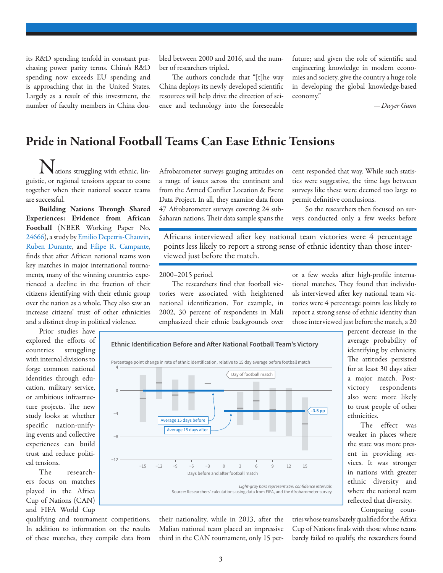its R&D spending tenfold in constant purchasing power parity terms. China's R&D spending now exceeds EU spending and is approaching that in the United States. Largely as a result of this investment, the number of faculty members in China doubled between 2000 and 2016, and the number of researchers tripled.

The authors conclude that "[t]he way China deploys its newly developed scientific resources will help drive the direction of science and technology into the foreseeable

future; and given the role of scientific and engineering knowledge in modern economies and society, give the country a huge role in developing the global knowledge-based economy."

*—Dwyer Gunn*

# Pride in National Football Teams Can Ease Ethnic Tensions

ations struggling with ethnic, linguistic, or regional tensions appear to come together when their national soccer teams are successful.

Building Nations Through Shared Experiences: Evidence from African Football (NBER Working Paper No. [24666\)](http://www.nber.org/papers/w24666), a study by [Emilio Depetris-Chauvin,](http://www.nber.org/people/emilio_depetris_chauvin) [Ruben Durante](http://www.nber.org/people/ruben_durante), and [Filipe R. Campante,](http://www.nber.org/people/filipe_campante) finds that after African national teams won key matches in major international tournaments, many of the winning countries experienced a decline in the fraction of their citizens identifying with their ethnic group over the nation as a whole. They also saw an increase citizens' trust of other ethnicities and a distinct drop in political violence.

Afrobarometer surveys gauging attitudes on a range of issues across the continent and from the Armed Conflict Location & Event Data Project. In all, they examine data from 47 Afrobarometer surveys covering 24 sub-Saharan nations. Their data sample spans the

cent responded that way. While such statistics were suggestive, the time lags between surveys like these were deemed too large to permit definitive conclusions.

So the researchers then focused on surveys conducted only a few weeks before

Africans interviewed after key national team victories were 4 percentage points less likely to report a strong sense of ethnic identity than those interviewed just before the match.

2000–2015 period.

The researchers find that football victories were associated with heightened national identification. For example, in 2002, 30 percent of respondents in Mali emphasized their ethnic backgrounds over

or a few weeks after high-profile international matches. They found that individuals interviewed after key national team victories were 4 percentage points less likely to report a strong sense of ethnic identity than those interviewed just before the match, a 20

Prior studies have explored the efforts of countries struggling with internal divisions to forge common national identities through education, military service, or ambitious infrastructure projects. The new study looks at whether specific nation-unifying events and collective experiences can build trust and reduce political tensions.

The researchers focus on matches played in the Africa Cup of Nations (CAN) and FIFA World Cup

qualifying and tournament competitions. In addition to information on the results of these matches, they compile data from



their nationality, while in 2013, after the Malian national team placed an impressive third in the CAN tournament, only 15 perpercent decrease in the average probability of identifying by ethnicity. The attitudes persisted for at least 30 days after a major match. Postvictory respondents also were more likely to trust people of other ethnicities.

The effect was weaker in places where the state was more present in providing services. It was stronger in nations with greater ethnic diversity and where the national team reflected that diversity.

Comparing coun-

tries whose teams barely qualified for the Africa Cup of Nations finals with those whose teams barely failed to qualify, the researchers found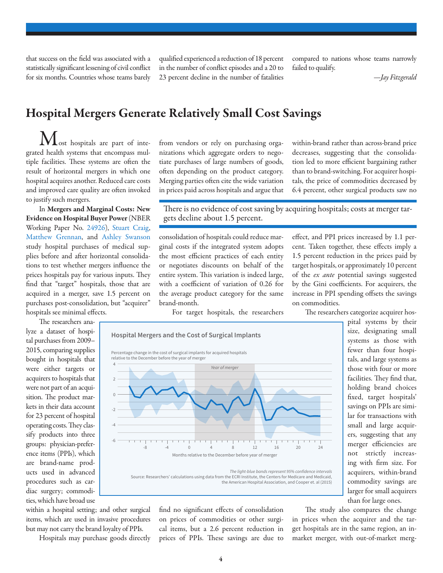that success on the field was associated with a statistically significant lessening of civil conflict for six months. Countries whose teams barely

qualified experienced a reduction of 18 percent in the number of conflict episodes and a 20 to 23 percent decline in the number of fatalities

compared to nations whose teams narrowly failed to qualify.

*—Jay Fitzgerald*

## Hospital Mergers Generate Relatively Small Cost Savings

ost hospitals are part of integrated health systems that encompass multiple facilities. These systems are often the result of horizontal mergers in which one hospital acquires another. Reduced care costs and improved care quality are often invoked to justify such mergers.

In Mergers and Marginal Costs: New Evidence on Hospital Buyer Power (NBER Working Paper No. [24926](http://www.nber.org/papers/w24926)), [Stuart Craig,](http://www.nber.org/people/stuartvcraig) [Matthew Grennan,](http://www.nber.org/people/matthew_grennan) and [Ashley Swanson](http://www.nber.org/people/ashley_swanson) study hospital purchases of medical supplies before and after horizontal consolidations to test whether mergers influence the prices hospitals pay for various inputs. They find that "target" hospitals, those that are acquired in a merger, save 1.5 percent on purchases post-consolidation, but "acquirer"

hospitals see minimal effects. The researchers analyze a dataset of hospi-

tal purchases from 2009– 2015, comparing supplies bought in hospitals that were either targets or acquirers to hospitals that were not part of an acquisition. The product markets in their data account for 23 percent of hospital operating costs. They classify products into three groups: physician-preference items (PPIs), which are brand-name products used in advanced procedures such as cardiac surgery; commodities, which have broad use

within a hospital setting; and other surgical items, which are used in invasive procedures but may not carry the brand loyalty of PPIs.

Hospitals may purchase goods directly

from vendors or rely on purchasing organizations which aggregate orders to negotiate purchases of large numbers of goods, often depending on the product category. Merging parties often cite the wide variation in prices paid across hospitals and argue that within-brand rather than across-brand price decreases, suggesting that the consolidation led to more efficient bargaining rather than to brand-switching. For acquirer hospitals, the price of commodities decreased by 6.4 percent, other surgical products saw no

There is no evidence of cost saving by acquiring hospitals; costs at merger targets decline about 1.5 percent.

consolidation of hospitals could reduce marginal costs if the integrated system adopts the most efficient practices of each entity or negotiates discounts on behalf of the entire system. This variation is indeed large, with a coefficient of variation of 0.26 for the average product category for the same brand-month.

For target hospitals, the researchers



find no significant effects of consolidation on prices of commodities or other surgical items, but a 2.6 percent reduction in prices of PPIs. These savings are due to effect, and PPI prices increased by 1.1 percent. Taken together, these effects imply a 1.5 percent reduction in the prices paid by target hospitals, or approximately 10 percent of the *ex ante* potential savings suggested by the Gini coefficients. For acquirers, the increase in PPI spending offsets the savings on commodities.

The researchers categorize acquirer hos-

pital systems by their size, designating small systems as those with fewer than four hospitals, and large systems as those with four or more facilities. They find that, holding brand choices fixed, target hospitals' savings on PPIs are similar for transactions with small and large acquirers, suggesting that any merger efficiencies are not strictly increasing with firm size. For acquirers, within-brand commodity savings are larger for small acquirers than for large ones.

The study also compares the change in prices when the acquirer and the target hospitals are in the same region, an inmarket merger, with out-of-market merg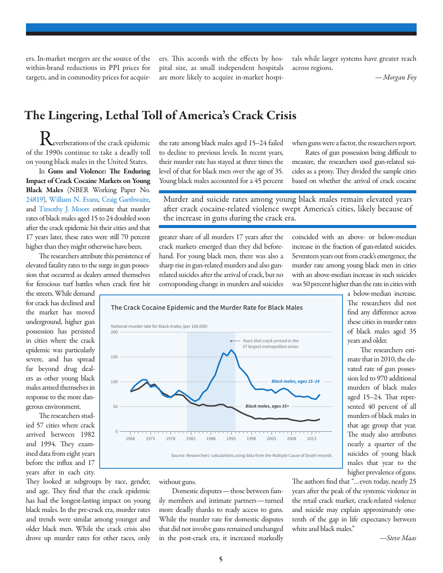ers. In-market mergers are the source of the within-brand reductions in PPI prices for targets, and in commodity prices for acquirers. This accords with the effects by hospital size, as small independent hospitals are more likely to acquire in-market hospitals while larger systems have greater reach across regions.

*—Morgan Foy*

# The Lingering, Lethal Toll of America's Crack Crisis

National murder rate for black males (per 100,000)

everberations of the crack epidemic of the 1990s continue to take a deadly toll on young black males in the United States.

In Guns and Violence: The Enduring Impact of Crack Cocaine Markets on Young Black Males (NBER Working Paper No. [24819](http://www.nber.org/papers/w24819)), [William N. Evans,](http://www.nber.org/people/william_evans) [Craig Garthwaite,](http://www.nber.org/people/craig_garthwaite) and [Timothy J. Moore](http://www.nber.org/people/timothy_moore) estimate that murder rates of black males aged 15 to 24 doubled soon after the crack epidemic hit their cities and that 17 years later, these rates were still 70 percent higher than they might otherwise have been.

The researchers attribute this persistence of elevated fatality rates to the surge in gun possession that occurred as dealers armed themselves for ferocious turf battles when crack first hit

the streets. While demand for crack has declined and the market has moved underground, higher gun possession has persisted in cities where the crack epidemic was particularly severe, and has spread far beyond drug dealers as other young black males armed themselves in response to the more dangerous environment.

The researchers studied 57 cities where crack arrived between 1982 and 1994. They examined data from eight years before the influx and 17 years after in each city.

They looked at subgroups by race, gender, and age. They find that the crack epidemic has had the longest-lasting impact on young black males. In the pre-crack era, murder rates and trends were similar among younger and older black men. While the crack crisis also drove up murder rates for other races, only

0

 $50$ 

100

150

200

the rate among black males aged 15–24 failed to decline to previous levels. In recent years, their murder rate has stayed at three times the level of that for black men over the age of 35. Young black males accounted for a 45 percent when guns were a factor, the researchers report.

Rates of gun possession being difficult to measure, the researchers used gun-related suicides as a proxy. They divided the sample cities based on whether the arrival of crack cocaine

Murder and suicide rates among young black males remain elevated years after crack cocaine-related violence swept America's cities, likely because of the increase in guns during the crack era.

greater share of all murders 17 years after the crack markets emerged than they did beforehand. For young black men, there was also a sharp rise in gun-related murders and also gunrelated suicides after the arrival of crack, but no corresponding change in murders and suicides

**The Crack Cocaine Epidemic and the Murder Rate for Black Males**

coincided with an above- or below-median increase in the fraction of gun-related suicides. Seventeen years out from crack's emergence, the murder rate among young black men in cities with an above-median increase in such suicides was 50 percent higher than the rate in cities with

> a below-median increase. The researchers did not find any difference across these cities in murder rates of black males aged 35 years and older.

> The researchers estimate that in 2010, the elevated rate of gun possession led to 970 additional murders of black males aged 15–24. That represented 40 percent of all murders of black males in that age group that year. The study also attributes nearly a quarter of the suicides of young black males that year to the higher prevalence of guns.

without guns.

Domestic disputes—those between family members and intimate partners—turned more deadly thanks to ready access to guns. While the murder rate for domestic disputes that did not involve guns remained unchanged in the post-crack era, it increased markedly

1968 1973 1978 1983 1988 1993 1998 2003 2008 2013

Source: Researchers' calculations using data from the Multiple Cause of Death records

Years that crack arrived in the 57 largest metropolitan areas

**Black males, ages 15–24**

**Black males, ages 35+**

The authors find that "…even today, nearly 25 years after the peak of the systemic violence in the retail crack market, crack-related violence and suicide may explain approximately onetenth of the gap in life expectancy between white and black males."

*—Steve Maas*